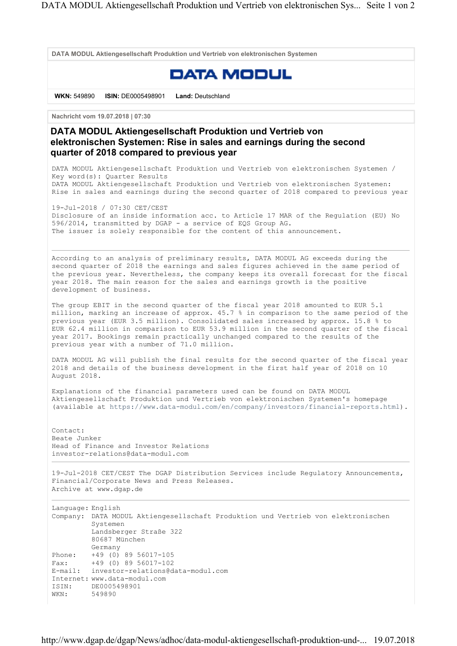